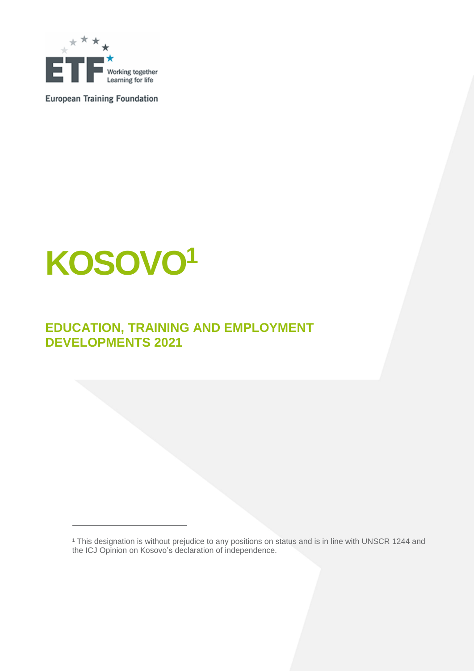

**European Training Foundation** 

# **KOSOVO<sup>1</sup>**

 $\overline{a}$ 

# **EDUCATION, TRAINING AND EMPLOYMENT DEVELOPMENTS 2021**

<sup>1</sup> This designation is without prejudice to any positions on status and is in line with UNSCR 1244 and the ICJ Opinion on Kosovo's declaration of independence.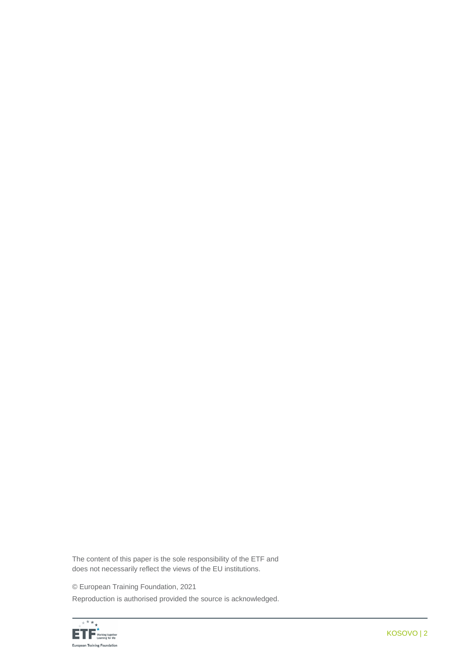The content of this paper is the sole responsibility of the ETF and does not necessarily reflect the views of the EU institutions.

© European Training Foundation, 2021

Reproduction is authorised provided the source is acknowledged.

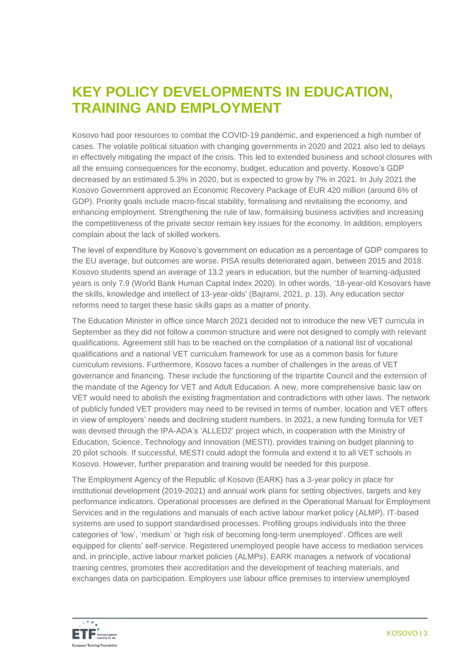# **KEY POLICY DEVELOPMENTS IN EDUCATION, TRAINING AND EMPLOYMENT**

Kosovo had poor resources to combat the COVID-19 pandemic, and experienced a high number of cases. The volatile political situation with changing governments in 2020 and 2021 also led to delays in effectively mitigating the impact of the crisis. This led to extended business and school closures with all the ensuing consequences for the economy, budget, education and poverty. Kosovo's GDP decreased by an estimated 5.3% in 2020, but is expected to grow by 7% in 2021. In July 2021 the Kosovo Government approved an Economic Recovery Package of EUR 420 million (around 6% of GDP). Priority goals include macro-fiscal stability, formalising and revitalising the economy, and enhancing employment. Strengthening the rule of law, formalising business activities and increasing the competitiveness of the private sector remain key issues for the economy. In addition, employers complain about the lack of skilled workers.

The level of expenditure by Kosovo's government on education as a percentage of GDP compares to the EU average, but outcomes are worse. PISA results deteriorated again, between 2015 and 2018. Kosovo students spend an average of 13.2 years in education, but the number of learning-adjusted years is only 7.9 (World Bank Human Capital Index 2020). In other words, '18-year-old Kosovars have the skills, knowledge and intellect of 13-year-olds' (Bajrami, 2021, p. 13). Any education sector reforms need to target these basic skills gaps as a matter of priority.

The Education Minister in office since March 2021 decided not to introduce the new VET curricula in September as they did not follow a common structure and were not designed to comply with relevant qualifications. Agreement still has to be reached on the compilation of a national list of vocational qualifications and a national VET curriculum framework for use as a common basis for future curriculum revisions. Furthermore, Kosovo faces a number of challenges in the areas of VET governance and financing. These include the functioning of the tripartite Council and the extension of the mandate of the Agency for VET and Adult Education. A new, more comprehensive basic law on VET would need to abolish the existing fragmentation and contradictions with other laws. The network of publicly funded VET providers may need to be revised in terms of number, location and VET offers in view of employers' needs and declining student numbers. In 2021, a new funding formula for VET was devised through the IPA-ADA's 'ALLED2' project which, in cooperation with the Ministry of Education, Science, Technology and Innovation (MESTI), provides training on budget planning to 20 pilot schools. If successful, MESTI could adopt the formula and extend it to all VET schools in Kosovo. However, further preparation and training would be needed for this purpose.

The Employment Agency of the Republic of Kosovo (EARK) has a 3-year policy in place for institutional development (2019-2021) and annual work plans for setting objectives, targets and key performance indicators. Operational processes are defined in the Operational Manual for Employment Services and in the regulations and manuals of each active labour market policy (ALMP). IT-based systems are used to support standardised processes. Profiling groups individuals into the three categories of 'low', 'medium' or 'high risk of becoming long-term unemployed'. Offices are well equipped for clients' self-service. Registered unemployed people have access to mediation services and, in principle, active labour market policies (ALMPs). EARK manages a network of vocational training centres, promotes their accreditation and the development of teaching materials, and exchanges data on participation. Employers use labour office premises to interview unemployed

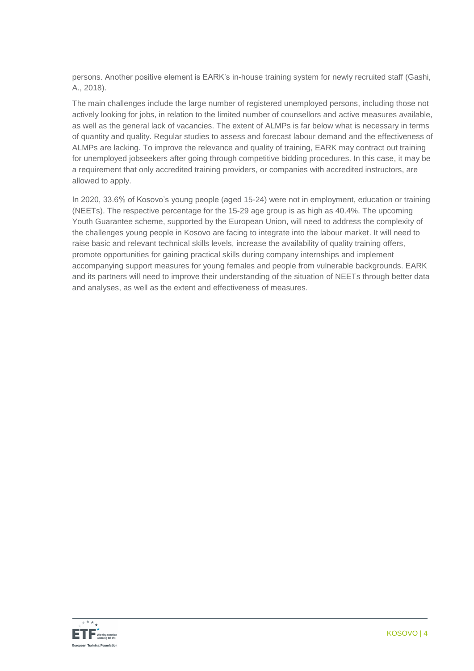persons. Another positive element is EARK's in-house training system for newly recruited staff (Gashi, A., 2018).

The main challenges include the large number of registered unemployed persons, including those not actively looking for jobs, in relation to the limited number of counsellors and active measures available, as well as the general lack of vacancies. The extent of ALMPs is far below what is necessary in terms of quantity and quality. Regular studies to assess and forecast labour demand and the effectiveness of ALMPs are lacking. To improve the relevance and quality of training, EARK may contract out training for unemployed jobseekers after going through competitive bidding procedures. In this case, it may be a requirement that only accredited training providers, or companies with accredited instructors, are allowed to apply.

In 2020, 33.6% of Kosovo's young people (aged 15-24) were not in employment, education or training (NEETs). The respective percentage for the 15-29 age group is as high as 40.4%. The upcoming Youth Guarantee scheme, supported by the European Union, will need to address the complexity of the challenges young people in Kosovo are facing to integrate into the labour market. It will need to raise basic and relevant technical skills levels, increase the availability of quality training offers, promote opportunities for gaining practical skills during company internships and implement accompanying support measures for young females and people from vulnerable backgrounds. EARK and its partners will need to improve their understanding of the situation of NEETs through better data and analyses, as well as the extent and effectiveness of measures.

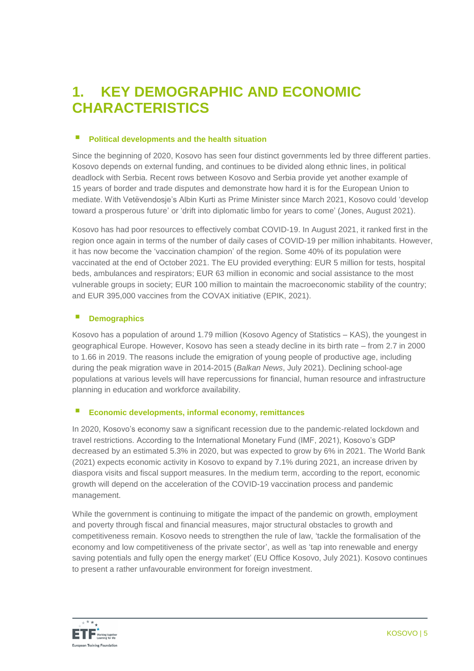# **1. KEY DEMOGRAPHIC AND ECONOMIC CHARACTERISTICS**

## **Political developments and the health situation**

Since the beginning of 2020, Kosovo has seen four distinct governments led by three different parties. Kosovo depends on external funding, and continues to be divided along ethnic lines, in political deadlock with Serbia. Recent rows between Kosovo and Serbia provide yet another example of 15 years of border and trade disputes and demonstrate how hard it is for the European Union to mediate. With Vetëvendosje's Albin Kurti as Prime Minister since March 2021, Kosovo could 'develop toward a prosperous future' or 'drift into diplomatic limbo for years to come' (Jones, August 2021).

Kosovo has had poor resources to effectively combat COVID-19. In August 2021, it ranked first in the region once again in terms of the number of daily cases of COVID-19 per million inhabitants. However, it has now become the 'vaccination champion' of the region. Some 40% of its population were vaccinated at the end of October 2021. The EU provided everything: EUR 5 million for tests, hospital beds, ambulances and respirators; EUR 63 million in economic and social assistance to the most vulnerable groups in society; EUR 100 million to maintain the macroeconomic stability of the country; and EUR 395,000 vaccines from the COVAX initiative (EPIK, 2021).

## **Demographics**

Kosovo has a population of around 1.79 million (Kosovo Agency of Statistics – KAS), the youngest in geographical Europe. However, Kosovo has seen a steady decline in its birth rate – from 2.7 in 2000 to 1.66 in 2019. The reasons include the emigration of young people of productive age, including during the peak migration wave in 2014-2015 (*Balkan News*, July 2021). Declining school-age populations at various levels will have repercussions for financial, human resource and infrastructure planning in education and workforce availability.

# **Economic developments, informal economy, remittances**

In 2020, Kosovo's economy saw a significant recession due to the pandemic-related lockdown and travel restrictions. According to the International Monetary Fund (IMF, 2021), Kosovo's GDP decreased by an estimated 5.3% in 2020, but was expected to grow by 6% in 2021. The World Bank (2021) expects economic activity in Kosovo to expand by 7.1% during 2021, an increase driven by diaspora visits and fiscal support measures. In the medium term, according to the report, economic growth will depend on the acceleration of the COVID-19 vaccination process and pandemic management.

While the government is continuing to mitigate the impact of the pandemic on growth, employment and poverty through fiscal and financial measures, major structural obstacles to growth and competitiveness remain. Kosovo needs to strengthen the rule of law, 'tackle the formalisation of the economy and low competitiveness of the private sector', as well as 'tap into renewable and energy saving potentials and fully open the energy market' (EU Office Kosovo, July 2021). Kosovo continues to present a rather unfavourable environment for foreign investment.

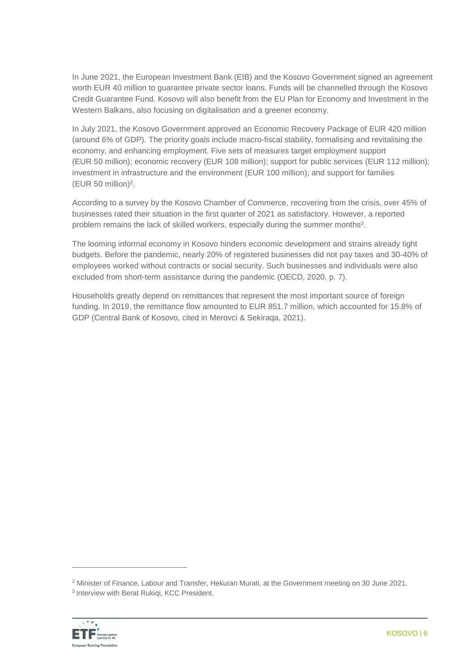In June 2021, the European Investment Bank (EIB) and the Kosovo Government signed an agreement worth EUR 40 million to guarantee private sector loans. Funds will be channelled through the Kosovo Credit Guarantee Fund. Kosovo will also benefit from the EU Plan for Economy and Investment in the Western Balkans, also focusing on digitalisation and a greener economy.

In July 2021, the Kosovo Government approved an Economic Recovery Package of EUR 420 million (around 6% of GDP). The priority goals include macro-fiscal stability, formalising and revitalising the economy, and enhancing employment. Five sets of measures target employment support (EUR 50 million); economic recovery (EUR 108 million); support for public services (EUR 112 million); investment in infrastructure and the environment (EUR 100 million); and support for families (EUR 50 million) 2 .

According to a survey by the Kosovo Chamber of Commerce, recovering from the crisis, over 45% of businesses rated their situation in the first quarter of 2021 as satisfactory. However, a reported problem remains the lack of skilled workers, especially during the summer months<sup>3</sup>.

The looming informal economy in Kosovo hinders economic development and strains already tight budgets. Before the pandemic, nearly 20% of registered businesses did not pay taxes and 30-40% of employees worked without contracts or social security. Such businesses and individuals were also excluded from short-term assistance during the pandemic (OECD, 2020, p. 7).

Households greatly depend on remittances that represent the most important source of foreign funding. In 2019, the remittance flow amounted to EUR 851.7 million, which accounted for 15.8% of GDP (Central Bank of Kosovo, cited in Merovci & Sekiraqa, 2021).

<sup>2</sup> Minister of Finance, Labour and Transfer, Hekuran Murati, at the Government meeting on 30 June 2021. 3 Interview with Berat Rukiqi, KCC President.

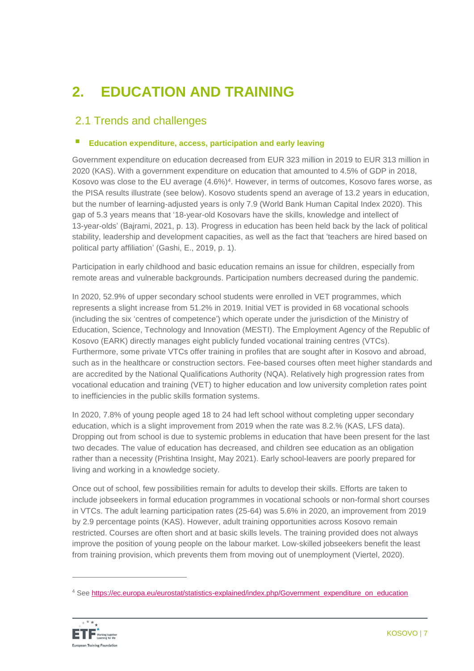# **2. EDUCATION AND TRAINING**

# 2.1 Trends and challenges

# **Education expenditure, access, participation and early leaving**

Government expenditure on education decreased from EUR 323 million in 2019 to EUR 313 million in 2020 (KAS). With a government expenditure on education that amounted to 4.5% of GDP in 2018, Kosovo was close to the EU average (4.6%)<sup>4</sup>. However, in terms of outcomes, Kosovo fares worse, as the PISA results illustrate (see below). Kosovo students spend an average of 13.2 years in education, but the number of learning-adjusted years is only 7.9 (World Bank Human Capital Index 2020). This gap of 5.3 years means that '18-year-old Kosovars have the skills, knowledge and intellect of 13-year-olds' (Bajrami, 2021, p. 13). Progress in education has been held back by the lack of political stability, leadership and development capacities, as well as the fact that 'teachers are hired based on political party affiliation' (Gashi, E., 2019, p. 1).

Participation in early childhood and basic education remains an issue for children, especially from remote areas and vulnerable backgrounds. Participation numbers decreased during the pandemic.

In 2020, 52.9% of upper secondary school students were enrolled in VET programmes, which represents a slight increase from 51.2% in 2019. Initial VET is provided in 68 vocational schools (including the six 'centres of competence') which operate under the jurisdiction of the Ministry of Education, Science, Technology and Innovation (MESTI). The Employment Agency of the Republic of Kosovo (EARK) directly manages eight publicly funded vocational training centres (VTCs). Furthermore, some private VTCs offer training in profiles that are sought after in Kosovo and abroad, such as in the healthcare or construction sectors. Fee-based courses often meet higher standards and are accredited by the National Qualifications Authority (NQA). Relatively high progression rates from vocational education and training (VET) to higher education and low university completion rates point to inefficiencies in the public skills formation systems.

In 2020, 7.8% of young people aged 18 to 24 had left school without completing upper secondary education, which is a slight improvement from 2019 when the rate was 8.2.% (KAS, LFS data). Dropping out from school is due to systemic problems in education that have been present for the last two decades. The value of education has decreased, and children see education as an obligation rather than a necessity (Prishtina Insight, May 2021). Early school-leavers are poorly prepared for living and working in a knowledge society.

Once out of school, few possibilities remain for adults to develop their skills. Efforts are taken to include jobseekers in formal education programmes in vocational schools or non-formal short courses in VTCs. The adult learning participation rates (25-64) was 5.6% in 2020, an improvement from 2019 by 2.9 percentage points (KAS). However, adult training opportunities across Kosovo remain restricted. Courses are often short and at basic skills levels. The training provided does not always improve the position of young people on the labour market. Low-skilled jobseekers benefit the least from training provision, which prevents them from moving out of unemployment (Viertel, 2020).

<sup>4</sup> See [https://ec.europa.eu/eurostat/statistics-explained/index.php/Government\\_expenditure\\_on\\_education](https://ec.europa.eu/eurostat/statistics-explained/index.php/Government_expenditure_on_education)

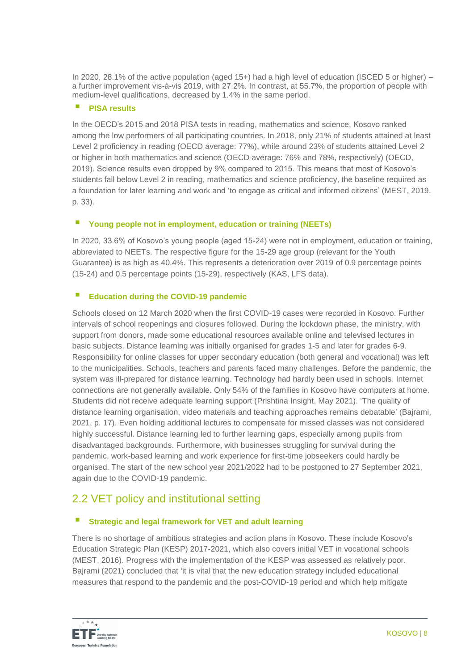In 2020, 28.1% of the active population (aged 15+) had a high level of education (ISCED 5 or higher) – a further improvement vis-à-vis 2019, with 27.2%. In contrast, at 55.7%, the proportion of people with medium-level qualifications, decreased by 1.4% in the same period.

## **PISA results**

In the OECD's 2015 and 2018 PISA tests in reading, mathematics and science, Kosovo ranked among the low performers of all participating countries. In 2018, only 21% of students attained at least Level 2 proficiency in reading (OECD average: 77%), while around 23% of students attained Level 2 or higher in both mathematics and science (OECD average: 76% and 78%, respectively) (OECD, 2019). Science results even dropped by 9% compared to 2015. This means that most of Kosovo's students fall below Level 2 in reading, mathematics and science proficiency, the baseline required as a foundation for later learning and work and 'to engage as critical and informed citizens' (MEST, 2019, p. 33).

# **Young people not in employment, education or training (NEETs)**

In 2020, 33.6% of Kosovo's young people (aged 15-24) were not in employment, education or training, abbreviated to NEETs. The respective figure for the 15-29 age group (relevant for the Youth Guarantee) is as high as 40.4%. This represents a deterioration over 2019 of 0.9 percentage points (15-24) and 0.5 percentage points (15-29), respectively (KAS, LFS data).

# **Education during the COVID-19 pandemic**

Schools closed on 12 March 2020 when the first COVID-19 cases were recorded in Kosovo. Further intervals of school reopenings and closures followed. During the lockdown phase, the ministry, with support from donors, made some educational resources available online and televised lectures in basic subjects. Distance learning was initially organised for grades 1-5 and later for grades 6-9. Responsibility for online classes for upper secondary education (both general and vocational) was left to the municipalities. Schools, teachers and parents faced many challenges. Before the pandemic, the system was ill-prepared for distance learning. Technology had hardly been used in schools. Internet connections are not generally available. Only 54% of the families in Kosovo have computers at home. Students did not receive adequate learning support (Prishtina Insight, May 2021). 'The quality of distance learning organisation, video materials and teaching approaches remains debatable' (Bajrami, 2021, p. 17). Even holding additional lectures to compensate for missed classes was not considered highly successful. Distance learning led to further learning gaps, especially among pupils from disadvantaged backgrounds. Furthermore, with businesses struggling for survival during the pandemic, work-based learning and work experience for first-time jobseekers could hardly be organised. The start of the new school year 2021/2022 had to be postponed to 27 September 2021, again due to the COVID-19 pandemic.

# 2.2 VET policy and institutional setting

# **Strategic and legal framework for VET and adult learning**

There is no shortage of ambitious strategies and action plans in Kosovo. These include Kosovo's Education Strategic Plan (KESP) 2017-2021, which also covers initial VET in vocational schools (MEST, 2016). Progress with the implementation of the KESP was assessed as relatively poor. Bajrami (2021) concluded that 'it is vital that the new education strategy included educational measures that respond to the pandemic and the post-COVID-19 period and which help mitigate

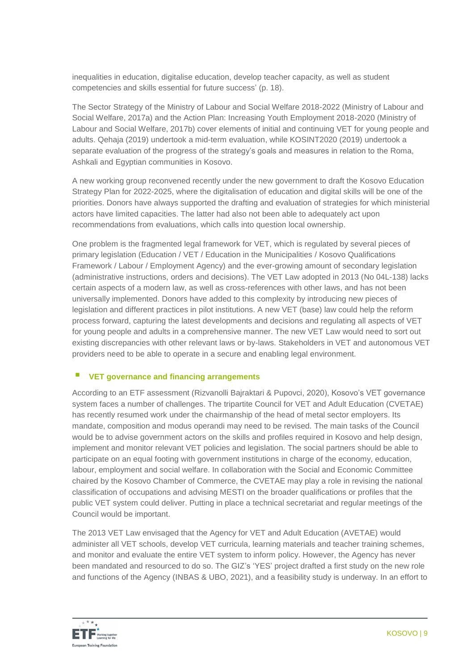inequalities in education, digitalise education, develop teacher capacity, as well as student competencies and skills essential for future success' (p. 18).

The Sector Strategy of the Ministry of Labour and Social Welfare 2018-2022 (Ministry of Labour and Social Welfare, 2017a) and the Action Plan: Increasing Youth Employment 2018-2020 (Ministry of Labour and Social Welfare, 2017b) cover elements of initial and continuing VET for young people and adults. Qehaja (2019) undertook a mid-term evaluation, while KOSINT2020 (2019) undertook a separate evaluation of the progress of the strategy's goals and measures in relation to the Roma, Ashkali and Egyptian communities in Kosovo.

A new working group reconvened recently under the new government to draft the Kosovo Education Strategy Plan for 2022-2025, where the digitalisation of education and digital skills will be one of the priorities. Donors have always supported the drafting and evaluation of strategies for which ministerial actors have limited capacities. The latter had also not been able to adequately act upon recommendations from evaluations, which calls into question local ownership.

One problem is the fragmented legal framework for VET, which is regulated by several pieces of primary legislation (Education / VET / Education in the Municipalities / Kosovo Qualifications Framework / Labour / Employment Agency) and the ever-growing amount of secondary legislation (administrative instructions, orders and decisions). The VET Law adopted in 2013 (No 04L-138) lacks certain aspects of a modern law, as well as cross-references with other laws, and has not been universally implemented. Donors have added to this complexity by introducing new pieces of legislation and different practices in pilot institutions. A new VET (base) law could help the reform process forward, capturing the latest developments and decisions and regulating all aspects of VET for young people and adults in a comprehensive manner. The new VET Law would need to sort out existing discrepancies with other relevant laws or by-laws. Stakeholders in VET and autonomous VET providers need to be able to operate in a secure and enabling legal environment.

## **VET governance and financing arrangements**

According to an ETF assessment (Rizvanolli Bajraktari & Pupovci, 2020), Kosovo's VET governance system faces a number of challenges. The tripartite Council for VET and Adult Education (CVETAE) has recently resumed work under the chairmanship of the head of metal sector employers. Its mandate, composition and modus operandi may need to be revised. The main tasks of the Council would be to advise government actors on the skills and profiles required in Kosovo and help design, implement and monitor relevant VET policies and legislation. The social partners should be able to participate on an equal footing with government institutions in charge of the economy, education, labour, employment and social welfare. In collaboration with the Social and Economic Committee chaired by the Kosovo Chamber of Commerce, the CVETAE may play a role in revising the national classification of occupations and advising MESTI on the broader qualifications or profiles that the public VET system could deliver. Putting in place a technical secretariat and regular meetings of the Council would be important.

The 2013 VET Law envisaged that the Agency for VET and Adult Education (AVETAE) would administer all VET schools, develop VET curricula, learning materials and teacher training schemes, and monitor and evaluate the entire VET system to inform policy. However, the Agency has never been mandated and resourced to do so. The GIZ's 'YES' project drafted a first study on the new role and functions of the Agency (INBAS & UBO, 2021), and a feasibility study is underway. In an effort to

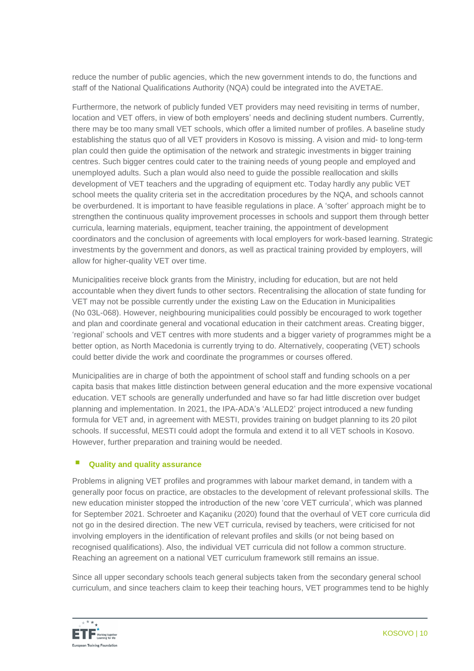reduce the number of public agencies, which the new government intends to do, the functions and staff of the National Qualifications Authority (NQA) could be integrated into the AVETAE.

Furthermore, the network of publicly funded VET providers may need revisiting in terms of number, location and VET offers, in view of both employers' needs and declining student numbers. Currently, there may be too many small VET schools, which offer a limited number of profiles. A baseline study establishing the status quo of all VET providers in Kosovo is missing. A vision and mid- to long-term plan could then guide the optimisation of the network and strategic investments in bigger training centres. Such bigger centres could cater to the training needs of young people and employed and unemployed adults. Such a plan would also need to guide the possible reallocation and skills development of VET teachers and the upgrading of equipment etc. Today hardly any public VET school meets the quality criteria set in the accreditation procedures by the NQA, and schools cannot be overburdened. It is important to have feasible regulations in place. A 'softer' approach might be to strengthen the continuous quality improvement processes in schools and support them through better curricula, learning materials, equipment, teacher training, the appointment of development coordinators and the conclusion of agreements with local employers for work-based learning. Strategic investments by the government and donors, as well as practical training provided by employers, will allow for higher-quality VET over time.

Municipalities receive block grants from the Ministry, including for education, but are not held accountable when they divert funds to other sectors. Recentralising the allocation of state funding for VET may not be possible currently under the existing Law on the Education in Municipalities (No 03L-068). However, neighbouring municipalities could possibly be encouraged to work together and plan and coordinate general and vocational education in their catchment areas. Creating bigger, 'regional' schools and VET centres with more students and a bigger variety of programmes might be a better option, as North Macedonia is currently trying to do. Alternatively, cooperating (VET) schools could better divide the work and coordinate the programmes or courses offered.

Municipalities are in charge of both the appointment of school staff and funding schools on a per capita basis that makes little distinction between general education and the more expensive vocational education. VET schools are generally underfunded and have so far had little discretion over budget planning and implementation. In 2021, the IPA-ADA's 'ALLED2' project introduced a new funding formula for VET and, in agreement with MESTI, provides training on budget planning to its 20 pilot schools. If successful, MESTI could adopt the formula and extend it to all VET schools in Kosovo. However, further preparation and training would be needed.

# **Quality and quality assurance**

Problems in aligning VET profiles and programmes with labour market demand, in tandem with a generally poor focus on practice, are obstacles to the development of relevant professional skills. The new education minister stopped the introduction of the new 'core VET curricula', which was planned for September 2021. Schroeter and Kaçaniku (2020) found that the overhaul of VET core curricula did not go in the desired direction. The new VET curricula, revised by teachers, were criticised for not involving employers in the identification of relevant profiles and skills (or not being based on recognised qualifications). Also, the individual VET curricula did not follow a common structure. Reaching an agreement on a national VET curriculum framework still remains an issue.

Since all upper secondary schools teach general subjects taken from the secondary general school curriculum, and since teachers claim to keep their teaching hours, VET programmes tend to be highly

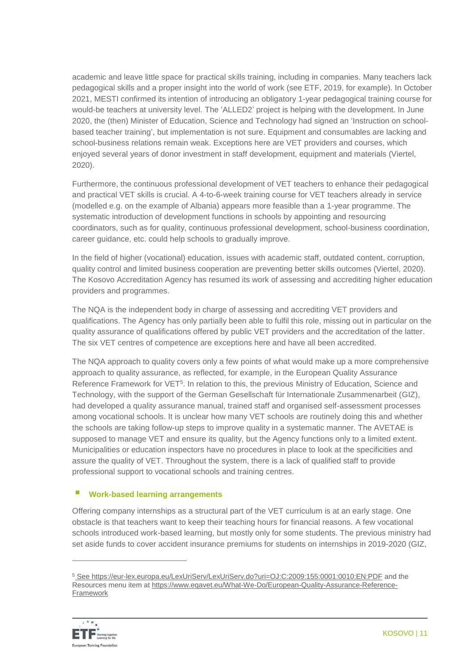academic and leave little space for practical skills training, including in companies. Many teachers lack pedagogical skills and a proper insight into the world of work (see ETF, 2019, for example). In October 2021, MESTI confirmed its intention of introducing an obligatory 1-year pedagogical training course for would-be teachers at university level. The 'ALLED2' project is helping with the development. In June 2020, the (then) Minister of Education, Science and Technology had signed an 'Instruction on schoolbased teacher training', but implementation is not sure. Equipment and consumables are lacking and school-business relations remain weak. Exceptions here are VET providers and courses, which enjoyed several years of donor investment in staff development, equipment and materials (Viertel, 2020).

Furthermore, the continuous professional development of VET teachers to enhance their pedagogical and practical VET skills is crucial. A 4-to-6-week training course for VET teachers already in service (modelled e.g. on the example of Albania) appears more feasible than a 1-year programme. The systematic introduction of development functions in schools by appointing and resourcing coordinators, such as for quality, continuous professional development, school-business coordination, career guidance, etc. could help schools to gradually improve.

In the field of higher (vocational) education, issues with academic staff, outdated content, corruption, quality control and limited business cooperation are preventing better skills outcomes (Viertel, 2020). The Kosovo Accreditation Agency has resumed its work of assessing and accrediting higher education providers and programmes.

The NQA is the independent body in charge of assessing and accrediting VET providers and qualifications. The Agency has only partially been able to fulfil this role, missing out in particular on the quality assurance of qualifications offered by public VET providers and the accreditation of the latter. The six VET centres of competence are exceptions here and have all been accredited.

The NQA approach to quality covers only a few points of what would make up a more comprehensive approach to quality assurance, as reflected, for example, in the European Quality Assurance Reference Framework for VET<sup>5</sup>. In relation to this, the previous Ministry of Education, Science and Technology, with the support of the German Gesellschaft für Internationale Zusammenarbeit (GIZ), had developed a quality assurance manual, trained staff and organised self-assessment processes among vocational schools. It is unclear how many VET schools are routinely doing this and whether the schools are taking follow-up steps to improve quality in a systematic manner. The AVETAE is supposed to manage VET and ensure its quality, but the Agency functions only to a limited extent. Municipalities or education inspectors have no procedures in place to look at the specificities and assure the quality of VET. Throughout the system, there is a lack of qualified staff to provide professional support to vocational schools and training centres.

# **Work-based learning arrangements**

Offering company internships as a structural part of the VET curriculum is at an early stage. One obstacle is that teachers want to keep their teaching hours for financial reasons. A few vocational schools introduced work-based learning, but mostly only for some students. The previous ministry had set aside funds to cover accident insurance premiums for students on internships in 2019-2020 (GIZ,

<sup>5</sup> See<https://eur-lex.europa.eu/LexUriServ/LexUriServ.do?uri=OJ:C:2009:155:0001:0010:EN:PDF> and the Resources menu item at [https://www.eqavet.eu/What-We-Do/European-Quality-Assurance-Reference-](https://www.eqavet.eu/What-We-Do/European-Quality-Assurance-Reference-Framework)[Framework](https://www.eqavet.eu/What-We-Do/European-Quality-Assurance-Reference-Framework)

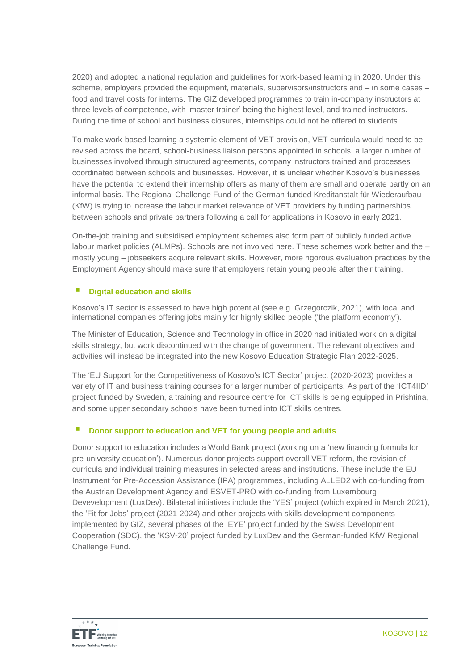2020) and adopted a national regulation and guidelines for work-based learning in 2020. Under this scheme, employers provided the equipment, materials, supervisors/instructors and – in some cases – food and travel costs for interns. The GIZ developed programmes to train in-company instructors at three levels of competence, with 'master trainer' being the highest level, and trained instructors. During the time of school and business closures, internships could not be offered to students.

To make work-based learning a systemic element of VET provision, VET curricula would need to be revised across the board, school-business liaison persons appointed in schools, a larger number of businesses involved through structured agreements, company instructors trained and processes coordinated between schools and businesses. However, it is unclear whether Kosovo's businesses have the potential to extend their internship offers as many of them are small and operate partly on an informal basis. The Regional Challenge Fund of the German-funded Kreditanstalt für Wiederaufbau (KfW) is trying to increase the labour market relevance of VET providers by funding partnerships between schools and private partners following a call for applications in Kosovo in early 2021.

On-the-job training and subsidised employment schemes also form part of publicly funded active labour market policies (ALMPs). Schools are not involved here. These schemes work better and the – mostly young – jobseekers acquire relevant skills. However, more rigorous evaluation practices by the Employment Agency should make sure that employers retain young people after their training.

# **Digital education and skills**

Kosovo's IT sector is assessed to have high potential (see e.g. Grzegorczik, 2021), with local and international companies offering jobs mainly for highly skilled people ('the platform economy').

The Minister of Education, Science and Technology in office in 2020 had initiated work on a digital skills strategy, but work discontinued with the change of government. The relevant objectives and activities will instead be integrated into the new Kosovo Education Strategic Plan 2022-2025.

The 'EU Support for the Competitiveness of Kosovo's ICT Sector' project (2020-2023) provides a variety of IT and business training courses for a larger number of participants. As part of the 'ICT4IID' project funded by Sweden, a training and resource centre for ICT skills is being equipped in Prishtina, and some upper secondary schools have been turned into ICT skills centres.

# ■ Donor support to education and VET for young people and adults

Donor support to education includes a World Bank project (working on a 'new financing formula for pre-university education'). Numerous donor projects support overall VET reform, the revision of curricula and individual training measures in selected areas and institutions. These include the EU Instrument for Pre-Accession Assistance (IPA) programmes, including ALLED2 with co-funding from the Austrian Development Agency and ESVET-PRO with co-funding from Luxembourg Devevelopment (LuxDev). Bilateral initiatives include the 'YES' project (which expired in March 2021), the 'Fit for Jobs' project (2021-2024) and other projects with skills development components implemented by GIZ, several phases of the 'EYE' project funded by the Swiss Development Cooperation (SDC), the 'KSV-20' project funded by LuxDev and the German-funded KfW Regional Challenge Fund.

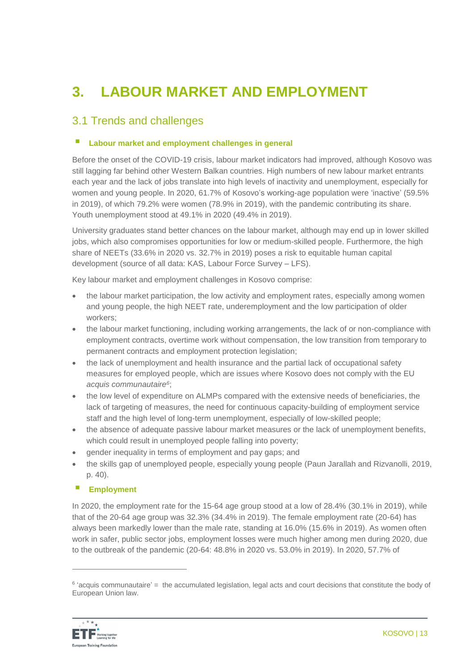# **3. LABOUR MARKET AND EMPLOYMENT**

# 3.1 Trends and challenges

## **Labour market and employment challenges in general**

Before the onset of the COVID-19 crisis, labour market indicators had improved, although Kosovo was still lagging far behind other Western Balkan countries. High numbers of new labour market entrants each year and the lack of jobs translate into high levels of inactivity and unemployment, especially for women and young people. In 2020, 61.7% of Kosovo's working-age population were 'inactive' (59.5% in 2019), of which 79.2% were women (78.9% in 2019), with the pandemic contributing its share. Youth unemployment stood at 49.1% in 2020 (49.4% in 2019).

University graduates stand better chances on the labour market, although may end up in lower skilled jobs, which also compromises opportunities for low or medium-skilled people. Furthermore, the high share of NEETs (33.6% in 2020 vs. 32.7% in 2019) poses a risk to equitable human capital development (source of all data: KAS, Labour Force Survey – LFS).

Key labour market and employment challenges in Kosovo comprise:

- the labour market participation, the low activity and employment rates, especially among women and young people, the high NEET rate, underemployment and the low participation of older workers;
- the labour market functioning, including working arrangements, the lack of or non-compliance with employment contracts, overtime work without compensation, the low transition from temporary to permanent contracts and employment protection legislation;
- the lack of unemployment and health insurance and the partial lack of occupational safety measures for employed people, which are issues where Kosovo does not comply with the EU *acquis communautaire<sup>6</sup>* ;
- the low level of expenditure on ALMPs compared with the extensive needs of beneficiaries, the lack of targeting of measures, the need for continuous capacity-building of employment service staff and the high level of long-term unemployment, especially of low-skilled people;
- the absence of adequate passive labour market measures or the lack of unemployment benefits, which could result in unemployed people falling into poverty;
- gender inequality in terms of employment and pay gaps; and
- the skills gap of unemployed people, especially young people (Paun Jarallah and Rizvanolli, 2019, p. 40).

## **Employment**

In 2020, the employment rate for the 15-64 age group stood at a low of 28.4% (30.1% in 2019), while that of the 20-64 age group was 32.3% (34.4% in 2019). The female employment rate (20-64) has always been markedly lower than the male rate, standing at 16.0% (15.6% in 2019). As women often work in safer, public sector jobs, employment losses were much higher among men during 2020, due to the outbreak of the pandemic (20-64: 48.8% in 2020 vs. 53.0% in 2019). In 2020, 57.7% of

<sup>&</sup>lt;sup>6</sup> 'acquis communautaire' = the accumulated legislation, legal acts and court decisions that constitute the body of European Union law.

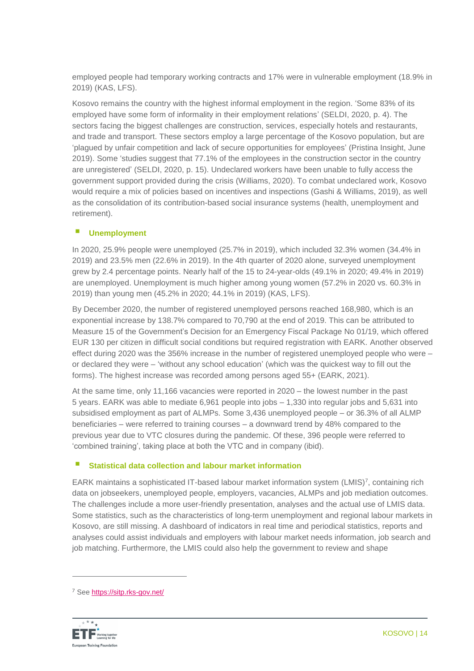employed people had temporary working contracts and 17% were in vulnerable employment (18.9% in 2019) (KAS, LFS).

Kosovo remains the country with the highest informal employment in the region. 'Some 83% of its employed have some form of informality in their employment relations' (SELDI, 2020, p. 4). The sectors facing the biggest challenges are construction, services, especially hotels and restaurants, and trade and transport. These sectors employ a large percentage of the Kosovo population, but are 'plagued by unfair competition and lack of secure opportunities for employees' (Pristina Insight, June 2019). Some 'studies suggest that 77.1% of the employees in the construction sector in the country are unregistered' (SELDI, 2020, p. 15). Undeclared workers have been unable to fully access the government support provided during the crisis (Williams, 2020). To combat undeclared work, Kosovo would require a mix of policies based on incentives and inspections (Gashi & Williams, 2019), as well as the consolidation of its contribution-based social insurance systems (health, unemployment and retirement).

# **Unemployment**

In 2020, 25.9% people were unemployed (25.7% in 2019), which included 32.3% women (34.4% in 2019) and 23.5% men (22.6% in 2019). In the 4th quarter of 2020 alone, surveyed unemployment grew by 2.4 percentage points. Nearly half of the 15 to 24-year-olds (49.1% in 2020; 49.4% in 2019) are unemployed. Unemployment is much higher among young women (57.2% in 2020 vs. 60.3% in 2019) than young men (45.2% in 2020; 44.1% in 2019) (KAS, LFS).

By December 2020, the number of registered unemployed persons reached 168,980, which is an exponential increase by 138.7% compared to 70,790 at the end of 2019. This can be attributed to Measure 15 of the Government's Decision for an Emergency Fiscal Package No 01/19, which offered EUR 130 per citizen in difficult social conditions but required registration with EARK. Another observed effect during 2020 was the 356% increase in the number of registered unemployed people who were – or declared they were – 'without any school education' (which was the quickest way to fill out the forms). The highest increase was recorded among persons aged 55+ (EARK, 2021).

At the same time, only 11,166 vacancies were reported in 2020 – the lowest number in the past 5 years. EARK was able to mediate 6,961 people into jobs – 1,330 into regular jobs and 5,631 into subsidised employment as part of ALMPs. Some 3,436 unemployed people – or 36.3% of all ALMP beneficiaries – were referred to training courses – a downward trend by 48% compared to the previous year due to VTC closures during the pandemic. Of these, 396 people were referred to 'combined training', taking place at both the VTC and in company (ibid).

## **Statistical data collection and labour market information**

EARK maintains a sophisticated IT-based labour market information system (LMIS)<sup>7</sup>, containing rich data on jobseekers, unemployed people, employers, vacancies, ALMPs and job mediation outcomes. The challenges include a more user-friendly presentation, analyses and the actual use of LMIS data. Some statistics, such as the characteristics of long-term unemployment and regional labour markets in Kosovo, are still missing. A dashboard of indicators in real time and periodical statistics, reports and analyses could assist individuals and employers with labour market needs information, job search and job matching. Furthermore, the LMIS could also help the government to review and shape

<sup>7</sup> See<https://sitp.rks-gov.net/>

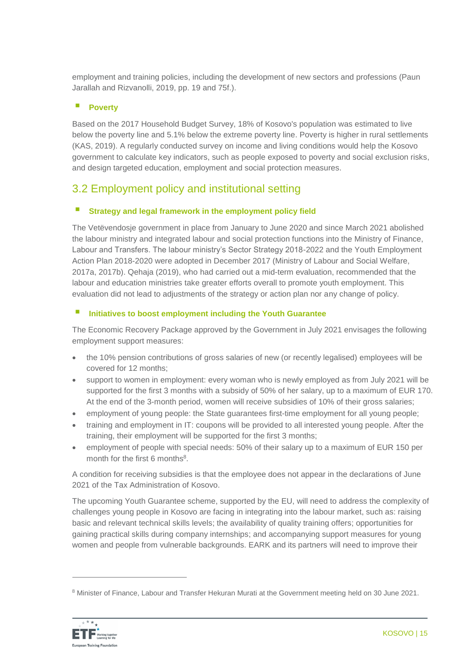employment and training policies, including the development of new sectors and professions (Paun Jarallah and Rizvanolli, 2019, pp. 19 and 75f.).

# **Poverty**

Based on the 2017 Household Budget Survey, 18% of Kosovo's population was estimated to live below the poverty line and 5.1% below the extreme poverty line. Poverty is higher in rural settlements (KAS, 2019). A regularly conducted survey on income and living conditions would help the Kosovo government to calculate key indicators, such as people exposed to poverty and social exclusion risks, and design targeted education, employment and social protection measures.

# 3.2 Employment policy and institutional setting

# **Strategy and legal framework in the employment policy field**

The Vetëvendosje government in place from January to June 2020 and since March 2021 abolished the labour ministry and integrated labour and social protection functions into the Ministry of Finance, Labour and Transfers. The labour ministry's Sector Strategy 2018-2022 and the Youth Employment Action Plan 2018-2020 were adopted in December 2017 (Ministry of Labour and Social Welfare, 2017a, 2017b). Qehaja (2019), who had carried out a mid-term evaluation, recommended that the labour and education ministries take greater efforts overall to promote youth employment. This evaluation did not lead to adjustments of the strategy or action plan nor any change of policy.

# **Initiatives to boost employment including the Youth Guarantee**

The Economic Recovery Package approved by the Government in July 2021 envisages the following employment support measures:

- the 10% pension contributions of gross salaries of new (or recently legalised) employees will be covered for 12 months;
- support to women in employment: every woman who is newly employed as from July 2021 will be supported for the first 3 months with a subsidy of 50% of her salary, up to a maximum of EUR 170. At the end of the 3-month period, women will receive subsidies of 10% of their gross salaries;
- employment of young people: the State guarantees first-time employment for all young people;
- training and employment in IT: coupons will be provided to all interested young people. After the training, their employment will be supported for the first 3 months;
- employment of people with special needs: 50% of their salary up to a maximum of EUR 150 per month for the first 6 months<sup>8</sup>.

A condition for receiving subsidies is that the employee does not appear in the declarations of June 2021 of the Tax Administration of Kosovo.

The upcoming Youth Guarantee scheme, supported by the EU, will need to address the complexity of challenges young people in Kosovo are facing in integrating into the labour market, such as: raising basic and relevant technical skills levels; the availability of quality training offers; opportunities for gaining practical skills during company internships; and accompanying support measures for young women and people from vulnerable backgrounds. EARK and its partners will need to improve their

<sup>8</sup> Minister of Finance, Labour and Transfer Hekuran Murati at the Government meeting held on 30 June 2021.

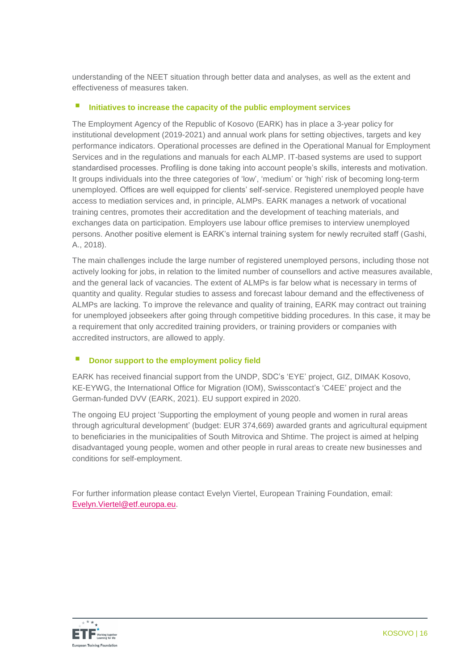understanding of the NEET situation through better data and analyses, as well as the extent and effectiveness of measures taken.

## **Initiatives to increase the capacity of the public employment services**

The Employment Agency of the Republic of Kosovo (EARK) has in place a 3-year policy for institutional development (2019-2021) and annual work plans for setting objectives, targets and key performance indicators. Operational processes are defined in the Operational Manual for Employment Services and in the regulations and manuals for each ALMP. IT-based systems are used to support standardised processes. Profiling is done taking into account people's skills, interests and motivation. It groups individuals into the three categories of 'low', 'medium' or 'high' risk of becoming long-term unemployed. Offices are well equipped for clients' self-service. Registered unemployed people have access to mediation services and, in principle, ALMPs. EARK manages a network of vocational training centres, promotes their accreditation and the development of teaching materials, and exchanges data on participation. Employers use labour office premises to interview unemployed persons. Another positive element is EARK's internal training system for newly recruited staff (Gashi, A., 2018).

The main challenges include the large number of registered unemployed persons, including those not actively looking for jobs, in relation to the limited number of counsellors and active measures available, and the general lack of vacancies. The extent of ALMPs is far below what is necessary in terms of quantity and quality. Regular studies to assess and forecast labour demand and the effectiveness of ALMPs are lacking. To improve the relevance and quality of training, EARK may contract out training for unemployed jobseekers after going through competitive bidding procedures. In this case, it may be a requirement that only accredited training providers, or training providers or companies with accredited instructors, are allowed to apply.

# **E** Donor support to the employment policy field

EARK has received financial support from the UNDP, SDC's 'EYE' project, GIZ, DIMAK Kosovo, KE-EYWG, the International Office for Migration (IOM), Swisscontact's 'C4EE' project and the German-funded DVV (EARK, 2021). EU support expired in 2020.

The ongoing EU project 'Supporting the employment of young people and women in rural areas through agricultural development' (budget: EUR 374,669) awarded grants and agricultural equipment to beneficiaries in the municipalities of South Mitrovica and Shtime. The project is aimed at helping disadvantaged young people, women and other people in rural areas to create new businesses and conditions for self-employment.

For further information please contact Evelyn Viertel, European Training Foundation, email: [Evelyn.Viertel@etf.europa.eu.](mailto:Evelyn.Viertel@etf.europa.eu)

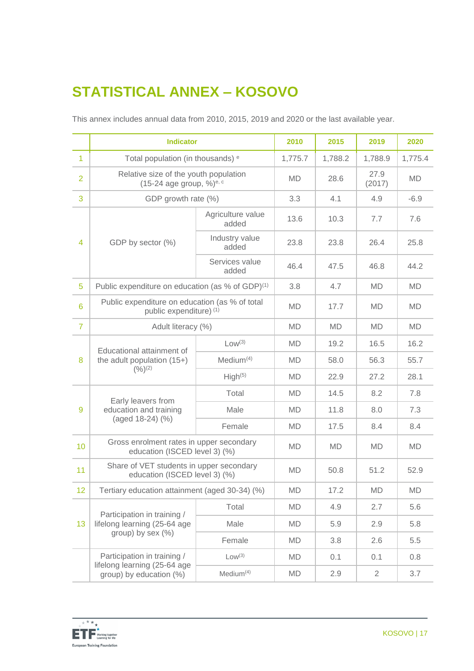# **STATISTICAL ANNEX – KOSOVO**

|                 | <b>Indicator</b>                                                                 |                            | 2010      | 2015      | 2019           | 2020      |
|-----------------|----------------------------------------------------------------------------------|----------------------------|-----------|-----------|----------------|-----------|
| $\overline{1}$  | Total population (in thousands) <sup>e</sup>                                     |                            | 1,775.7   | 1,788.2   | 1,788.9        | 1,775.4   |
| $\overline{2}$  | Relative size of the youth population<br>$(15-24$ age group, %) <sup>e, c</sup>  |                            | <b>MD</b> | 28.6      | 27.9<br>(2017) | <b>MD</b> |
| 3               | GDP growth rate (%)                                                              |                            | 3.3       | 4.1       | 4.9            | $-6.9$    |
|                 | GDP by sector (%)                                                                | Agriculture value<br>added | 13.6      | 10.3      | 7.7            | 7.6       |
| 4               |                                                                                  | Industry value<br>added    | 23.8      | 23.8      | 26.4           | 25.8      |
|                 |                                                                                  | Services value<br>added    | 46.4      | 47.5      | 46.8           | 44.2      |
| 5               | Public expenditure on education (as % of GDP) <sup>(1)</sup>                     |                            | 3.8       | 4.7       | <b>MD</b>      | <b>MD</b> |
| $6\phantom{1}6$ | Public expenditure on education (as % of total<br>public expenditure) (1)        |                            | <b>MD</b> | 17.7      | <b>MD</b>      | <b>MD</b> |
| $\overline{7}$  | Adult literacy (%)                                                               |                            | <b>MD</b> | <b>MD</b> | <b>MD</b>      | <b>MD</b> |
|                 | Educational attainment of<br>the adult population $(15+)$<br>$(%)^{(2)}$         | Low <sup>(3)</sup>         | <b>MD</b> | 19.2      | 16.5           | 16.2      |
| 8               |                                                                                  | Median <sup>(4)</sup>      | <b>MD</b> | 58.0      | 56.3           | 55.7      |
|                 |                                                                                  | High <sup>(5)</sup>        | <b>MD</b> | 22.9      | 27.2           | 28.1      |
|                 | Early leavers from<br>education and training<br>9<br>(aged 18-24) (%)            | Total                      | <b>MD</b> | 14.5      | 8.2            | 7.8       |
|                 |                                                                                  | Male                       | <b>MD</b> | 11.8      | 8.0            | 7.3       |
|                 |                                                                                  | Female                     | <b>MD</b> | 17.5      | 8.4            | 8.4       |
| 10              | Gross enrolment rates in upper secondary<br>education (ISCED level 3) (%)        |                            | <b>MD</b> | <b>MD</b> | <b>MD</b>      | MD        |
| 11              | Share of VET students in upper secondary<br>education (ISCED level 3) (%)        |                            | <b>MD</b> | 50.8      | 51.2           | 52.9      |
| 12              | Tertiary education attainment (aged 30-34) (%)                                   |                            | MD        | 17.2      | MD             | MD        |
| 13              | Participation in training /<br>lifelong learning (25-64 age<br>group) by sex (%) | Total                      | <b>MD</b> | 4.9       | 2.7            | 5.6       |
|                 |                                                                                  | Male                       | <b>MD</b> | 5.9       | 2.9            | 5.8       |
|                 |                                                                                  | Female                     | <b>MD</b> | 3.8       | 2.6            | 5.5       |
|                 | Participation in training /                                                      | Low <sup>(3)</sup>         | <b>MD</b> | 0.1       | 0.1            | 0.8       |
|                 | lifelong learning (25-64 age<br>group) by education (%)                          | Median <sup>(4)</sup>      | <b>MD</b> | 2.9       | $\overline{2}$ | 3.7       |

This annex includes annual data from 2010, 2015, 2019 and 2020 or the last available year.

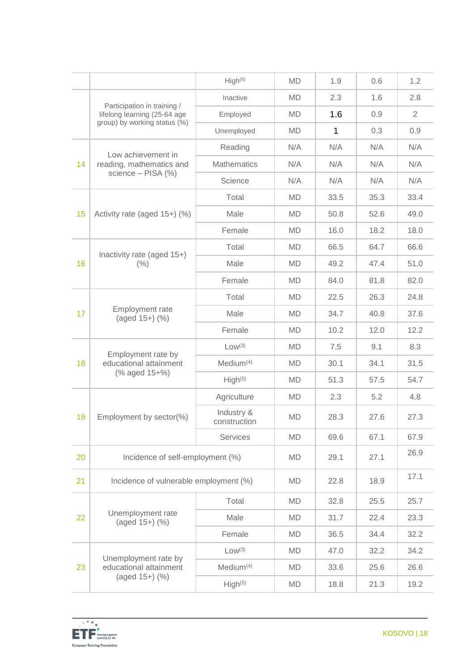|    |                                                               | High <sup>(5)</sup>        | <b>MD</b> | 1.9  | 0.6  | 1.2            |
|----|---------------------------------------------------------------|----------------------------|-----------|------|------|----------------|
|    | Participation in training /                                   | Inactive                   | <b>MD</b> | 2.3  | 1.6  | 2.8            |
|    | lifelong learning (25-64 age<br>group) by working status (%)  | Employed                   | <b>MD</b> | 1.6  | 0.9  | $\overline{2}$ |
|    |                                                               | Unemployed                 | <b>MD</b> | 1    | 0.3  | 0.9            |
|    | Low achievement in                                            | Reading                    | N/A       | N/A  | N/A  | N/A            |
| 14 | reading, mathematics and                                      | <b>Mathematics</b>         | N/A       | N/A  | N/A  | N/A            |
|    | science - PISA (%)                                            | Science                    | N/A       | N/A  | N/A  | N/A            |
|    |                                                               | Total                      | <b>MD</b> | 33.5 | 35.3 | 33.4           |
| 15 | Activity rate (aged 15+) (%)                                  | Male                       | <b>MD</b> | 50.8 | 52.6 | 49.0           |
|    |                                                               | Female                     | <b>MD</b> | 16.0 | 18.2 | 18.0           |
|    |                                                               | Total                      | <b>MD</b> | 66.5 | 64.7 | 66.6           |
| 16 | Inactivity rate (aged 15+)<br>(% )                            | Male                       | <b>MD</b> | 49.2 | 47.4 | 51.0           |
|    |                                                               | Female                     | <b>MD</b> | 84.0 | 81.8 | 82.0           |
|    | Employment rate<br>$(aged 15+)$ $(\%)$                        | Total                      | <b>MD</b> | 22.5 | 26.3 | 24.8           |
| 17 |                                                               | Male                       | <b>MD</b> | 34.7 | 40.8 | 37.6           |
|    |                                                               | Female                     | <b>MD</b> | 10.2 | 12.0 | 12.2           |
|    | Employment rate by<br>educational attainment<br>(% aged 15+%) | Low <sup>(3)</sup>         | <b>MD</b> | 7.5  | 9.1  | 8.3            |
| 18 |                                                               | Median <sup>(4)</sup>      | <b>MD</b> | 30.1 | 34.1 | 31.5           |
|    |                                                               | High <sup>(5)</sup>        | <b>MD</b> | 51.3 | 57.5 | 54.7           |
|    |                                                               | Agriculture                | <b>MD</b> | 2.3  | 5.2  | 4.8            |
| 19 | Employment by sector(%)                                       | Industry &<br>construction | <b>MD</b> | 28.3 | 27.6 | 27.3           |
|    |                                                               | Services                   | <b>MD</b> | 69.6 | 67.1 | 67.9           |
| 20 | Incidence of self-employment (%)                              |                            | <b>MD</b> | 29.1 | 27.1 | 26.9           |
| 21 | Incidence of vulnerable employment (%)                        |                            | <b>MD</b> | 22.8 | 18.9 | 17.1           |
| 22 | Unemployment rate<br>(aged 15+) (%)                           | Total                      | <b>MD</b> | 32.8 | 25.5 | 25.7           |
|    |                                                               | Male                       | <b>MD</b> | 31.7 | 22.4 | 23.3           |
|    |                                                               | Female                     | <b>MD</b> | 36.5 | 34.4 | 32.2           |
|    |                                                               | Low <sup>(3)</sup>         | <b>MD</b> | 47.0 | 32.2 | 34.2           |
| 23 | Unemployment rate by<br>educational attainment                | Medium <sup>(4)</sup>      | <b>MD</b> | 33.6 | 25.6 | 26.6           |
|    | (aged 15+) (%)                                                | High <sup>(5)</sup>        | MD        | 18.8 | 21.3 | 19.2           |
|    |                                                               |                            |           |      |      |                |

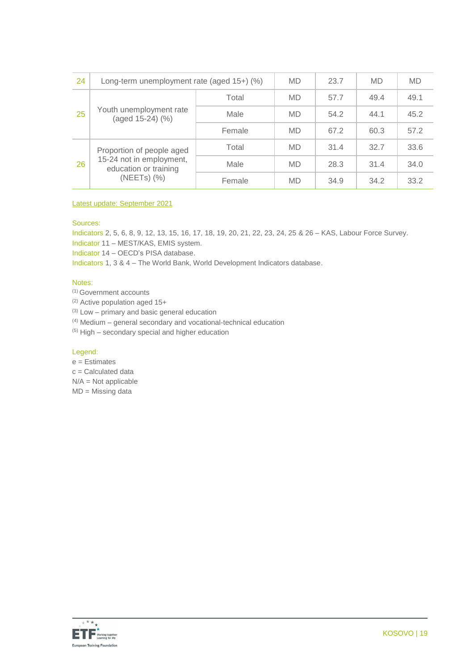| 24 | Long-term unemployment rate (aged $15+$ ) (%)                                                      |        | <b>MD</b> | 23.7 | <b>MD</b> | <b>MD</b> |
|----|----------------------------------------------------------------------------------------------------|--------|-----------|------|-----------|-----------|
|    | Youth unemployment rate<br>(aged 15-24) (%)                                                        | Total  | <b>MD</b> | 57.7 | 49.4      | 49.1      |
| 25 |                                                                                                    | Male   | <b>MD</b> | 54.2 | 44.1      | 45.2      |
|    |                                                                                                    | Female | <b>MD</b> | 67.2 | 60.3      | 57.2      |
| 26 | Proportion of people aged<br>15-24 not in employment,<br>education or training<br>$(NEETS)$ $(\%)$ | Total  | <b>MD</b> | 31.4 | 32.7      | 33.6      |
|    |                                                                                                    | Male   | <b>MD</b> | 28.3 | 31.4      | 34.0      |
|    |                                                                                                    | Female | <b>MD</b> | 34.9 | 34.2      | 33.2      |

#### Latest update: September 2021

#### Sources:

Indicators 2, 5, 6, 8, 9, 12, 13, 15, 16, 17, 18, 19, 20, 21, 22, 23, 24, 25 & 26 – KAS, Labour Force Survey.

Indicator 11 – MEST/KAS, EMIS system.

Indicator 14 – OECD's PISA database.

Indicators 1, 3 & 4 – The World Bank, World Development Indicators database.

#### Notes:

- (1) Government accounts
- (2) Active population aged 15+

 $(3)$  Low – primary and basic general education

(4) Medium – general secondary and vocational-technical education

(5) High – secondary special and higher education

#### Legend:

- $e =$ Estimates
- $c =$  Calculated data

N/A = Not applicable

MD = Missing data

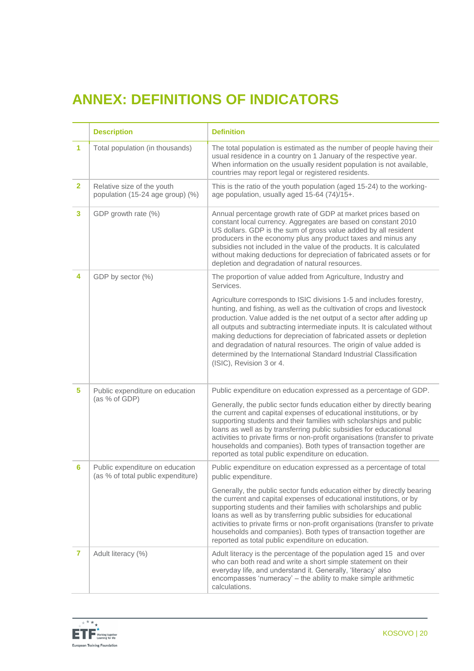# **ANNEX: DEFINITIONS OF INDICATORS**

|              | <b>Description</b>                                                    | <b>Definition</b>                                                                                                                                                                                                                                                                                                                                                                                                                                                                                                                                                          |
|--------------|-----------------------------------------------------------------------|----------------------------------------------------------------------------------------------------------------------------------------------------------------------------------------------------------------------------------------------------------------------------------------------------------------------------------------------------------------------------------------------------------------------------------------------------------------------------------------------------------------------------------------------------------------------------|
| 1            | Total population (in thousands)                                       | The total population is estimated as the number of people having their<br>usual residence in a country on 1 January of the respective year.<br>When information on the usually resident population is not available,<br>countries may report legal or registered residents.                                                                                                                                                                                                                                                                                                |
| $\mathbf{2}$ | Relative size of the youth<br>population (15-24 age group) (%)        | This is the ratio of the youth population (aged 15-24) to the working-<br>age population, usually aged 15-64 (74)/15+.                                                                                                                                                                                                                                                                                                                                                                                                                                                     |
| 3            | GDP growth rate (%)                                                   | Annual percentage growth rate of GDP at market prices based on<br>constant local currency. Aggregates are based on constant 2010<br>US dollars. GDP is the sum of gross value added by all resident<br>producers in the economy plus any product taxes and minus any<br>subsidies not included in the value of the products. It is calculated<br>without making deductions for depreciation of fabricated assets or for<br>depletion and degradation of natural resources.                                                                                                 |
| 4            | GDP by sector (%)                                                     | The proportion of value added from Agriculture, Industry and<br>Services.                                                                                                                                                                                                                                                                                                                                                                                                                                                                                                  |
|              |                                                                       | Agriculture corresponds to ISIC divisions 1-5 and includes forestry,<br>hunting, and fishing, as well as the cultivation of crops and livestock<br>production. Value added is the net output of a sector after adding up<br>all outputs and subtracting intermediate inputs. It is calculated without<br>making deductions for depreciation of fabricated assets or depletion<br>and degradation of natural resources. The origin of value added is<br>determined by the International Standard Industrial Classification<br>(ISIC), Revision 3 or 4.                      |
| 5            | Public expenditure on education<br>(as % of GDP)                      | Public expenditure on education expressed as a percentage of GDP.<br>Generally, the public sector funds education either by directly bearing<br>the current and capital expenses of educational institutions, or by<br>supporting students and their families with scholarships and public<br>loans as well as by transferring public subsidies for educational<br>activities to private firms or non-profit organisations (transfer to private<br>households and companies). Both types of transaction together are<br>reported as total public expenditure on education. |
| 6            | Public expenditure on education<br>(as % of total public expenditure) | Public expenditure on education expressed as a percentage of total<br>public expenditure.                                                                                                                                                                                                                                                                                                                                                                                                                                                                                  |
|              |                                                                       | Generally, the public sector funds education either by directly bearing<br>the current and capital expenses of educational institutions, or by<br>supporting students and their families with scholarships and public<br>loans as well as by transferring public subsidies for educational<br>activities to private firms or non-profit organisations (transfer to private<br>households and companies). Both types of transaction together are<br>reported as total public expenditure on education.                                                                      |
| 7            | Adult literacy (%)                                                    | Adult literacy is the percentage of the population aged 15 and over<br>who can both read and write a short simple statement on their<br>everyday life, and understand it. Generally, 'literacy' also<br>encompasses 'numeracy' - the ability to make simple arithmetic<br>calculations.                                                                                                                                                                                                                                                                                    |

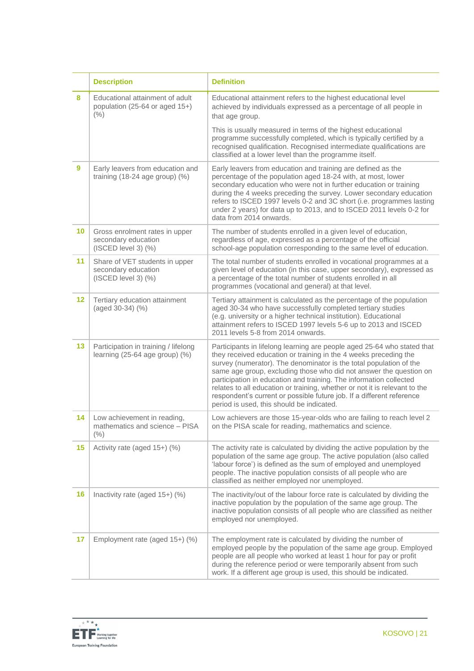|                 | <b>Description</b>                                                                | <b>Definition</b>                                                                                                                                                                                                                                                                                                                                                                                                                                                                                                                                                 |
|-----------------|-----------------------------------------------------------------------------------|-------------------------------------------------------------------------------------------------------------------------------------------------------------------------------------------------------------------------------------------------------------------------------------------------------------------------------------------------------------------------------------------------------------------------------------------------------------------------------------------------------------------------------------------------------------------|
| 8               | Educational attainment of adult<br>population (25-64 or aged 15+)<br>(% )         | Educational attainment refers to the highest educational level<br>achieved by individuals expressed as a percentage of all people in<br>that age group.                                                                                                                                                                                                                                                                                                                                                                                                           |
|                 |                                                                                   | This is usually measured in terms of the highest educational<br>programme successfully completed, which is typically certified by a<br>recognised qualification. Recognised intermediate qualifications are<br>classified at a lower level than the programme itself.                                                                                                                                                                                                                                                                                             |
| 9               | Early leavers from education and<br>training $(18-24$ age group) $(\%)$           | Early leavers from education and training are defined as the<br>percentage of the population aged 18-24 with, at most, lower<br>secondary education who were not in further education or training<br>during the 4 weeks preceding the survey. Lower secondary education<br>refers to ISCED 1997 levels 0-2 and 3C short (i.e. programmes lasting<br>under 2 years) for data up to 2013, and to ISCED 2011 levels 0-2 for<br>data from 2014 onwards.                                                                                                               |
| 10 <sup>1</sup> | Gross enrolment rates in upper<br>secondary education<br>$(ISCED level 3)$ $(\%)$ | The number of students enrolled in a given level of education,<br>regardless of age, expressed as a percentage of the official<br>school-age population corresponding to the same level of education.                                                                                                                                                                                                                                                                                                                                                             |
| 11              | Share of VET students in upper<br>secondary education<br>$(ISCED level 3)$ $(\%)$ | The total number of students enrolled in vocational programmes at a<br>given level of education (in this case, upper secondary), expressed as<br>a percentage of the total number of students enrolled in all<br>programmes (vocational and general) at that level.                                                                                                                                                                                                                                                                                               |
| $12 \,$         | Tertiary education attainment<br>(aged 30-34) (%)                                 | Tertiary attainment is calculated as the percentage of the population<br>aged 30-34 who have successfully completed tertiary studies<br>(e.g. university or a higher technical institution). Educational<br>attainment refers to ISCED 1997 levels 5-6 up to 2013 and ISCED<br>2011 levels 5-8 from 2014 onwards.                                                                                                                                                                                                                                                 |
| 13              | Participation in training / lifelong<br>learning $(25-64$ age group) $(\%)$       | Participants in lifelong learning are people aged 25-64 who stated that<br>they received education or training in the 4 weeks preceding the<br>survey (numerator). The denominator is the total population of the<br>same age group, excluding those who did not answer the question on<br>participation in education and training. The information collected<br>relates to all education or training, whether or not it is relevant to the<br>respondent's current or possible future job. If a different reference<br>period is used, this should be indicated. |
| 14              | Low achievement in reading,<br>mathematics and science - PISA<br>$(\% )$          | Low achievers are those 15-year-olds who are failing to reach level 2<br>on the PISA scale for reading, mathematics and science.                                                                                                                                                                                                                                                                                                                                                                                                                                  |
| 15              | Activity rate (aged 15+) (%)                                                      | The activity rate is calculated by dividing the active population by the<br>population of the same age group. The active population (also called<br>'labour force') is defined as the sum of employed and unemployed<br>people. The inactive population consists of all people who are<br>classified as neither employed nor unemployed.                                                                                                                                                                                                                          |
| 16              | Inactivity rate (aged 15+) (%)                                                    | The inactivity/out of the labour force rate is calculated by dividing the<br>inactive population by the population of the same age group. The<br>inactive population consists of all people who are classified as neither<br>employed nor unemployed.                                                                                                                                                                                                                                                                                                             |
| 17              | Employment rate (aged 15+) (%)                                                    | The employment rate is calculated by dividing the number of<br>employed people by the population of the same age group. Employed<br>people are all people who worked at least 1 hour for pay or profit<br>during the reference period or were temporarily absent from such<br>work. If a different age group is used, this should be indicated.                                                                                                                                                                                                                   |

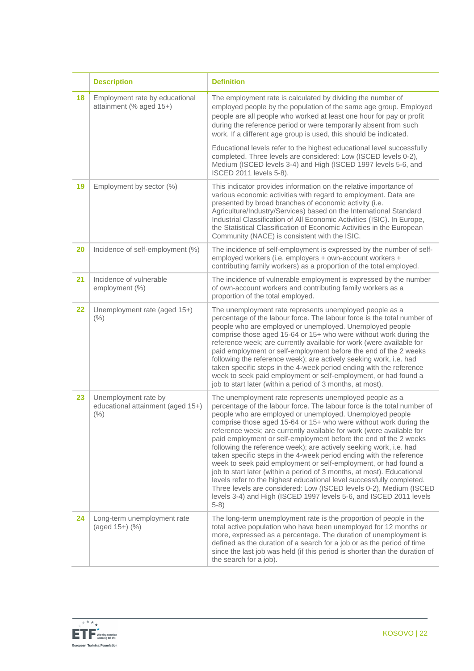|    | <b>Description</b>                                                | <b>Definition</b>                                                                                                                                                                                                                                                                                                                                                                                                                                                                                                                                                                                                                                                                                                                                                                                                                                                                                                                        |
|----|-------------------------------------------------------------------|------------------------------------------------------------------------------------------------------------------------------------------------------------------------------------------------------------------------------------------------------------------------------------------------------------------------------------------------------------------------------------------------------------------------------------------------------------------------------------------------------------------------------------------------------------------------------------------------------------------------------------------------------------------------------------------------------------------------------------------------------------------------------------------------------------------------------------------------------------------------------------------------------------------------------------------|
| 18 | Employment rate by educational<br>attainment (% aged 15+)         | The employment rate is calculated by dividing the number of<br>employed people by the population of the same age group. Employed<br>people are all people who worked at least one hour for pay or profit<br>during the reference period or were temporarily absent from such<br>work. If a different age group is used, this should be indicated.                                                                                                                                                                                                                                                                                                                                                                                                                                                                                                                                                                                        |
|    |                                                                   | Educational levels refer to the highest educational level successfully<br>completed. Three levels are considered: Low (ISCED levels 0-2),<br>Medium (ISCED levels 3-4) and High (ISCED 1997 levels 5-6, and<br>ISCED 2011 levels 5-8).                                                                                                                                                                                                                                                                                                                                                                                                                                                                                                                                                                                                                                                                                                   |
| 19 | Employment by sector (%)                                          | This indicator provides information on the relative importance of<br>various economic activities with regard to employment. Data are<br>presented by broad branches of economic activity (i.e.<br>Agriculture/Industry/Services) based on the International Standard<br>Industrial Classification of All Economic Activities (ISIC). In Europe,<br>the Statistical Classification of Economic Activities in the European<br>Community (NACE) is consistent with the ISIC.                                                                                                                                                                                                                                                                                                                                                                                                                                                                |
| 20 | Incidence of self-employment (%)                                  | The incidence of self-employment is expressed by the number of self-<br>employed workers (i.e. employers + own-account workers +<br>contributing family workers) as a proportion of the total employed.                                                                                                                                                                                                                                                                                                                                                                                                                                                                                                                                                                                                                                                                                                                                  |
| 21 | Incidence of vulnerable<br>employment (%)                         | The incidence of vulnerable employment is expressed by the number<br>of own-account workers and contributing family workers as a<br>proportion of the total employed.                                                                                                                                                                                                                                                                                                                                                                                                                                                                                                                                                                                                                                                                                                                                                                    |
| 22 | Unemployment rate (aged 15+)<br>(% )                              | The unemployment rate represents unemployed people as a<br>percentage of the labour force. The labour force is the total number of<br>people who are employed or unemployed. Unemployed people<br>comprise those aged 15-64 or 15+ who were without work during the<br>reference week; are currently available for work (were available for<br>paid employment or self-employment before the end of the 2 weeks<br>following the reference week); are actively seeking work, i.e. had<br>taken specific steps in the 4-week period ending with the reference<br>week to seek paid employment or self-employment, or had found a<br>job to start later (within a period of 3 months, at most).                                                                                                                                                                                                                                            |
| 23 | Unemployment rate by<br>educational attainment (aged 15+)<br>(% ) | The unemployment rate represents unemployed people as a<br>percentage of the labour force. The labour force is the total number of<br>people who are employed or unemployed. Unemployed people<br>comprise those aged 15-64 or 15+ who were without work during the<br>reference week; are currently available for work (were available for<br>paid employment or self-employment before the end of the 2 weeks<br>following the reference week); are actively seeking work, i.e. had<br>taken specific steps in the 4-week period ending with the reference<br>week to seek paid employment or self-employment, or had found a<br>job to start later (within a period of 3 months, at most). Educational<br>levels refer to the highest educational level successfully completed.<br>Three levels are considered: Low (ISCED levels 0-2), Medium (ISCED<br>levels 3-4) and High (ISCED 1997 levels 5-6, and ISCED 2011 levels<br>$5-8)$ |
| 24 | Long-term unemployment rate<br>(aged 15+) (%)                     | The long-term unemployment rate is the proportion of people in the<br>total active population who have been unemployed for 12 months or<br>more, expressed as a percentage. The duration of unemployment is<br>defined as the duration of a search for a job or as the period of time<br>since the last job was held (if this period is shorter than the duration of<br>the search for a job).                                                                                                                                                                                                                                                                                                                                                                                                                                                                                                                                           |

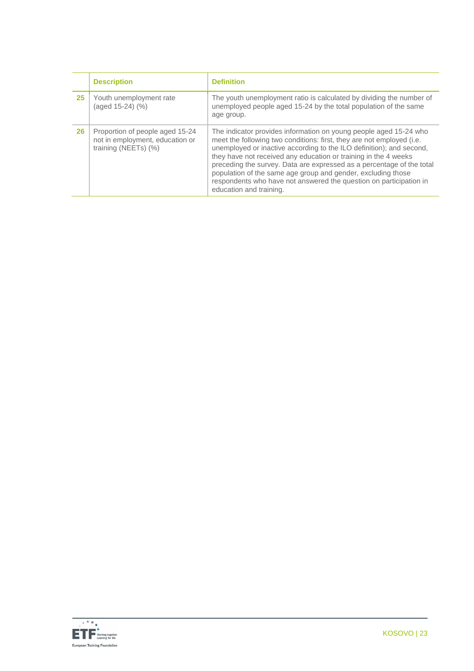|    | <b>Description</b>                                                                         | <b>Definition</b>                                                                                                                                                                                                                                                                                                                                                                                                                                                                                                               |
|----|--------------------------------------------------------------------------------------------|---------------------------------------------------------------------------------------------------------------------------------------------------------------------------------------------------------------------------------------------------------------------------------------------------------------------------------------------------------------------------------------------------------------------------------------------------------------------------------------------------------------------------------|
| 25 | Youth unemployment rate<br>(aged 15-24) (%)                                                | The youth unemployment ratio is calculated by dividing the number of<br>unemployed people aged 15-24 by the total population of the same<br>age group.                                                                                                                                                                                                                                                                                                                                                                          |
| 26 | Proportion of people aged 15-24<br>not in employment, education or<br>training (NEETs) (%) | The indicator provides information on young people aged 15-24 who<br>meet the following two conditions: first, they are not employed (i.e.<br>unemployed or inactive according to the ILO definition); and second,<br>they have not received any education or training in the 4 weeks<br>preceding the survey. Data are expressed as a percentage of the total<br>population of the same age group and gender, excluding those<br>respondents who have not answered the question on participation in<br>education and training. |

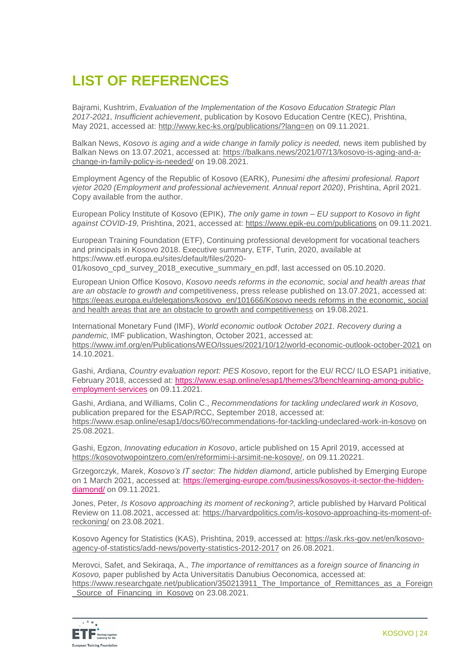# **LIST OF REFERENCES**

Bajrami, Kushtrim, *Evaluation of the Implementation of the Kosovo Education Strategic Plan 2017-2021, Insufficient achievement*, publication by Kosovo Education Centre (KEC), Prishtina, May 2021, accessed at:<http://www.kec-ks.org/publications/?lang=en> on 09.11.2021.

Balkan News, *Kosovo is aging and a wide change in family policy is needed*, news item published by Balkan News on 13.07.2021, accessed at: [https://balkans.news/2021/07/13/kosovo-is-aging-and-a](https://balkans.news/2021/07/13/kosovo-is-aging-and-a-change-in-family-policy-is-needed/)[change-in-family-policy-is-needed/](https://balkans.news/2021/07/13/kosovo-is-aging-and-a-change-in-family-policy-is-needed/) on 19.08.2021.

Employment Agency of the Republic of Kosovo (EARK), *Punesimi dhe aftesimi profesional. Raport vjetor 2020 (Employment and professional achievement. Annual report 2020)*, Prishtina, April 2021. Copy available from the author.

European Policy Institute of Kosovo (EPIK), *The only game in town – EU support to Kosovo in fight against COVID-19,* Prishtina, 2021, accessed at:<https://www.epik-eu.com/publications> on 09.11.2021.

European Training Foundation (ETF), Continuing professional development for vocational teachers and principals in Kosovo 2018. Executive summary, ETF, Turin, 2020, available at [https://www.etf.europa.eu/sites/default/files/2020-](https://www.etf.europa.eu/sites/default/files/2020-01/kosovo_cpd_survey_2018_executive_summary_en.pdf) [01/kosovo\\_cpd\\_survey\\_2018\\_executive\\_summary\\_en.pdf,](https://www.etf.europa.eu/sites/default/files/2020-01/kosovo_cpd_survey_2018_executive_summary_en.pdf) last accessed on 05.10.2020.

European Union Office Kosovo, *Kosovo needs reforms in the economic, social and health areas that are an obstacle to growth and* competitiveness, press release published on 13.07.2021, accessed at: https://eeas.europa.eu/delegations/kosovo\_en/101666/Kosovo needs reforms in the economic, social [and health areas that are an obstacle to growth and competitiveness](https://eeas.europa.eu/delegations/kosovo_en/101666/Kosovo%20needs%20reforms%20in%20the%20economic,%20social%20and%20health%20areas%20that%20are%20an%20obstacle%20to%20growth%20and%20competitiveness) on 19.08.2021.

International Monetary Fund (IMF), *World economic outlook October 2021. Recovery during a pandemic,* IMF publication, Washington, October 2021, accessed at: <https://www.imf.org/en/Publications/WEO/Issues/2021/10/12/world-economic-outlook-october-2021> on 14.10.2021.

Gashi, Ardiana, *Country evaluation report: PES Kosovo*, report for the EU/ RCC/ ILO ESAP1 initiative, February 2018, accessed at: [https://www.esap.online/esap1/themes/3/benchlearning-among-public](https://www.esap.online/esap1/themes/3/benchlearning-among-public-employment-services)[employment-services](https://www.esap.online/esap1/themes/3/benchlearning-among-public-employment-services) on 09.11.2021.

Gashi, Ardiana, and Williams, Colin C., *Recommendations for tackling undeclared work in Kosovo,*  publication prepared for the ESAP/RCC, September 2018, accessed at: <https://www.esap.online/esap1/docs/60/recommendations-for-tackling-undeclared-work-in-kosovo> on 25.08.2021.

Gashi, Egzon, *Innovating education in Kosovo*, article published on 15 April 2019, accessed at [https://kosovotwopointzero.com/en/reformimi-i-arsimit-ne-kosove/,](https://kosovotwopointzero.com/en/reformimi-i-arsimit-ne-kosove/) on 09.11.20221.

Grzegorczyk, Marek, *Kosovo's IT sector: The hidden diamond*, article published by Emerging Europe on 1 March 2021, accessed at: [https://emerging-europe.com/business/kosovos-it-sector-the-hidden](https://emerging-europe.com/business/kosovos-it-sector-the-hidden-diamond/)[diamond/](https://emerging-europe.com/business/kosovos-it-sector-the-hidden-diamond/) on 09.11.2021.

Jones, Peter, *Is Kosovo approaching its moment of reckoning?,* article published by Harvard Political Review on 11.08.2021, accessed at: [https://harvardpolitics.com/is-kosovo-approaching-its-moment-of](https://harvardpolitics.com/is-kosovo-approaching-its-moment-of-reckoning/)[reckoning/](https://harvardpolitics.com/is-kosovo-approaching-its-moment-of-reckoning/) on 23.08.2021.

Kosovo Agency for Statistics (KAS), Prishtina, 2019, accessed at: [https://ask.rks-gov.net/en/kosovo](https://ask.rks-gov.net/en/kosovo-agency-of-statistics/add-news/poverty-statistics-2012-2017)[agency-of-statistics/add-news/poverty-statistics-2012-2017](https://ask.rks-gov.net/en/kosovo-agency-of-statistics/add-news/poverty-statistics-2012-2017) on 26.08.2021.

Merovci, Safet, and Sekiraqa, A., *The importance of remittances as a foreign source of financing in Kosovo,* paper published by Acta Universitatis Danubius Oeconomica, accessed at: [https://www.researchgate.net/publication/350213911\\_The\\_Importance\\_of\\_Remittances\\_as\\_a\\_Foreign](https://www.researchgate.net/publication/350213911_The_Importance_of_Remittances_as_a_Foreign_Source_of_Financing_in_Kosovo%20on%2023.08.2021) Source of Financing in Kosovo on 23.08.2021.

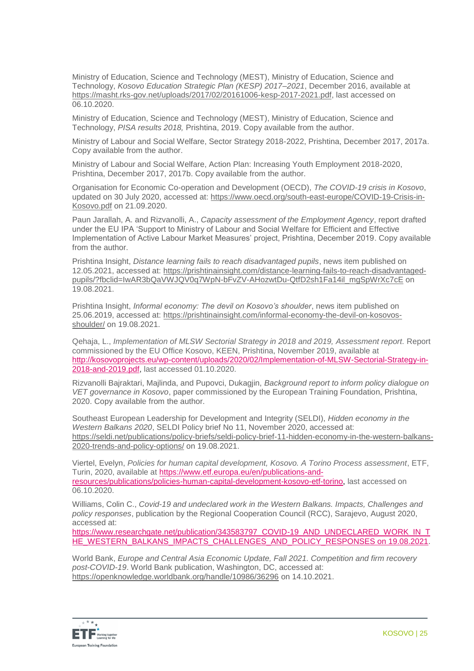Ministry of Education, Science and Technology (MEST), Ministry of Education, Science and Technology, *Kosovo Education Strategic Plan (KESP) 2017–2021*, December 2016, available at [https://masht.rks-gov.net/uploads/2017/02/20161006-kesp-2017-2021.pdf,](https://masht.rks-gov.net/uploads/2017/02/20161006-kesp-2017-2021.pdf) last accessed on 06.10.2020.

Ministry of Education, Science and Technology (MEST), Ministry of Education, Science and Technology, *PISA results 2018,* Prishtina, 2019. Copy available from the author.

Ministry of Labour and Social Welfare, Sector Strategy 2018-2022, Prishtina, December 2017, 2017a. Copy available from the author.

Ministry of Labour and Social Welfare, Action Plan: Increasing Youth Employment 2018-2020, Prishtina, December 2017, 2017b. Copy available from the author.

Organisation for Economic Co-operation and Development (OECD), *The COVID-19 crisis in Kosovo*, updated on 30 July 2020, accessed at: [https://www.oecd.org/south-east-europe/COVID-19-Crisis-in-](https://www.oecd.org/south-east-europe/COVID-19-Crisis-in-Kosovo.pdf)[Kosovo.pdf](https://www.oecd.org/south-east-europe/COVID-19-Crisis-in-Kosovo.pdf) on 21.09.2020.

Paun Jarallah, A. and Rizvanolli, A., *Capacity assessment of the Employment Agency*, report drafted under the EU IPA 'Support to Ministry of Labour and Social Welfare for Efficient and Effective Implementation of Active Labour Market Measures' project, Prishtina, December 2019. Copy available from the author.

Prishtina Insight, *Distance learning fails to reach disadvantaged pupils*, news item published on 12.05.2021, accessed at: [https://prishtinainsight.com/distance-learning-fails-to-reach-disadvantaged](https://prishtinainsight.com/distance-learning-fails-to-reach-disadvantaged-pupils/?fbclid=IwAR3bQaVWJQV0q7WpN-bFvZV-AHozwtDu-QtfD2sh1Fa14il_mgSpWrXc7cE)[pupils/?fbclid=IwAR3bQaVWJQV0q7WpN-bFvZV-AHozwtDu-QtfD2sh1Fa14il\\_mgSpWrXc7cE](https://prishtinainsight.com/distance-learning-fails-to-reach-disadvantaged-pupils/?fbclid=IwAR3bQaVWJQV0q7WpN-bFvZV-AHozwtDu-QtfD2sh1Fa14il_mgSpWrXc7cE) on 19.08.2021.

Prishtina Insight, *Informal economy: The devil on Kosovo's shoulder*, news item published on 25.06.2019, accessed at: [https://prishtinainsight.com/informal-economy-the-devil-on-kosovos](https://prishtinainsight.com/informal-economy-the-devil-on-kosovos-shoulder/)[shoulder/](https://prishtinainsight.com/informal-economy-the-devil-on-kosovos-shoulder/) on 19.08.2021.

Qehaja, L., *Implementation of MLSW Sectorial Strategy in 2018 and 2019, Assessment report.* Report commissioned by the EU Office Kosovo, KEEN, Prishtina, November 2019, available at [http://kosovoprojects.eu/wp-content/uploads/2020/02/Implementation-of-MLSW-Sectorial-Strategy-in-](http://kosovoprojects.eu/wp-content/uploads/2020/02/Implementation-of-MLSW-Sectorial-Strategy-in-2018-and-2019.pdfo)[2018-and-2019.pdf,](http://kosovoprojects.eu/wp-content/uploads/2020/02/Implementation-of-MLSW-Sectorial-Strategy-in-2018-and-2019.pdfo) last accessed 01.10.2020.

Rizvanolli Bajraktari, Majlinda, and Pupovci, Dukagjin, *Background report to inform policy dialogue on VET governance in Kosovo*, paper commissioned by the European Training Foundation, Prishtina, 2020. Copy available from the author.

Southeast European Leadership for Development and Integrity (SELDI), *Hidden economy in the Western Balkans 2020*, SELDI Policy brief No 11, November 2020, accessed at: [https://seldi.net/publications/policy-briefs/seldi-policy-brief-11-hidden-economy-in-the-western-balkans-](https://seldi.net/publications/policy-briefs/seldi-policy-brief-11-hidden-economy-in-the-western-balkans-2020-trends-and-policy-options/)[2020-trends-and-policy-options/](https://seldi.net/publications/policy-briefs/seldi-policy-brief-11-hidden-economy-in-the-western-balkans-2020-trends-and-policy-options/) on 19.08.2021.

Viertel, Evelyn, *Policies for human capital development, Kosovo. A Torino Process assessment*, ETF, Turin, 2020, available at [https://www.etf.europa.eu/en/publications-and](https://www.etf.europa.eu/en/publications-and-resources/publications/policies-human-capital-development-kosovo-etf-torino)[resources/publications/policies-human-capital-development-kosovo-etf-torino,](https://www.etf.europa.eu/en/publications-and-resources/publications/policies-human-capital-development-kosovo-etf-torino) last accessed on 06.10.2020.

Williams, Colin C., *Covid-19 and undeclared work in the Western Balkans. Impacts, Challenges and policy responses*, publication by the Regional Cooperation Council (RCC), Sarajevo, August 2020, accessed at:

[https://www.researchgate.net/publication/343583797\\_COVID-19\\_AND\\_UNDECLARED\\_WORK\\_IN\\_T](https://www.researchgate.net/publication/343583797_COVID%1e19_AND_UNDECLARED_WORK_IN_THE_WESTERN_BALKANS_IMPACTS_CHALLENGES_AND_POLICY_RESPONSES%20on%2019.08.2021) [HE\\_WESTERN\\_BALKANS\\_IMPACTS\\_CHALLENGES\\_AND\\_POLICY\\_RESPONSES on 19.08.2021.](https://www.researchgate.net/publication/343583797_COVID%1e19_AND_UNDECLARED_WORK_IN_THE_WESTERN_BALKANS_IMPACTS_CHALLENGES_AND_POLICY_RESPONSES%20on%2019.08.2021)

World Bank, *Europe and Central Asia Economic Update, Fall 2021. Competition and firm recovery post-COVID-19*. World Bank publication, Washington, DC, accessed at: <https://openknowledge.worldbank.org/handle/10986/36296> on 14.10.2021.